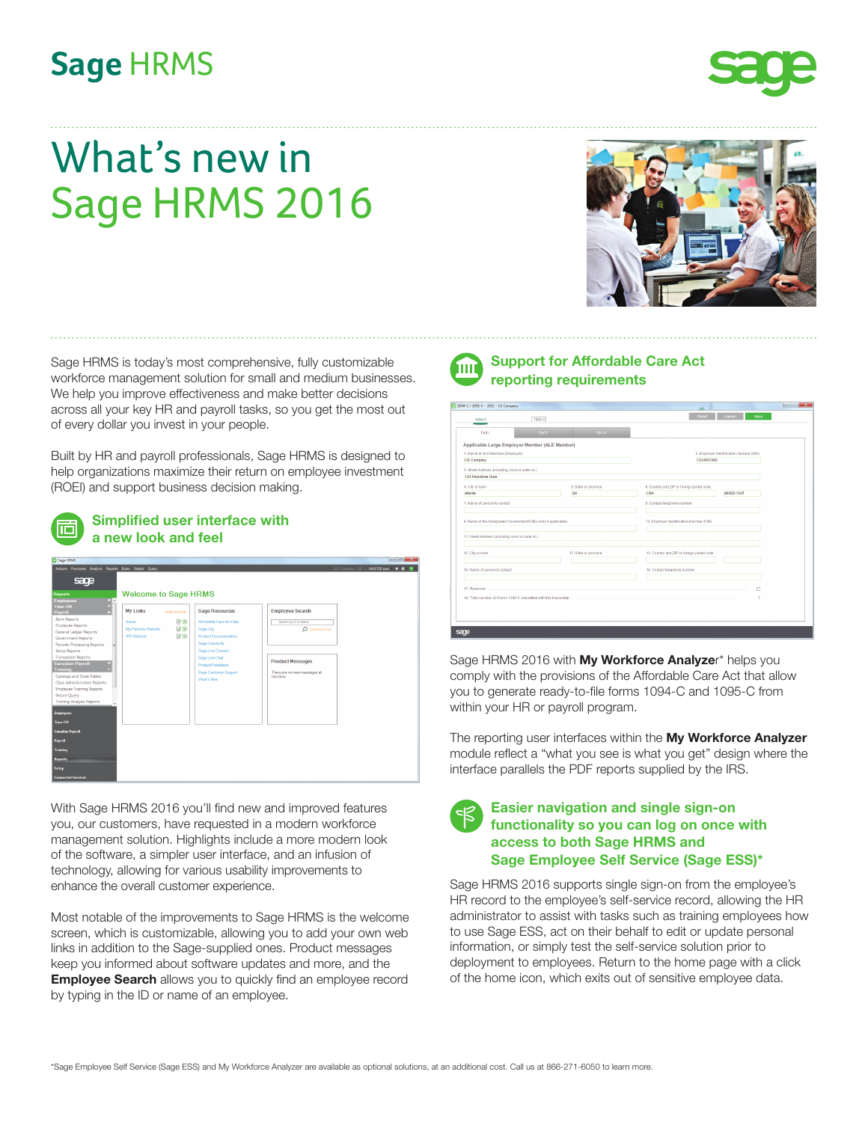## **Sage** HRMS



# What's new in Sage HRMS 2016



Sage HRMS is today's most comprehensive, fully customizable workforce management solution for small and medium businesses. We help you improve effectiveness and make better decisions across all your key HR and payroll tasks, so you get the most out of every dollar you invest in your people.

Built by HR and payroll professionals, Sage HRMS is designed to help organizations maximize their return on employee investment (ROEI) and support business decision making.



| Sage HRMS                                                            |                             |                              |                                            | $-10 - 1$                            |
|----------------------------------------------------------------------|-----------------------------|------------------------------|--------------------------------------------|--------------------------------------|
| Actions Processes Analysis Reports Rules Details Query               |                             |                              |                                            | US Company - USL * MASTER user # 0 0 |
| sage                                                                 |                             |                              |                                            |                                      |
| <b>Reports</b><br><b>Employees</b>                                   | <b>Welcome to Sage HRMS</b> |                              |                                            |                                      |
| <b>Time Off</b><br><b>My Links</b><br>Payroll<br><b>Bank Reports</b> | Add new link                | <b>Sage Resources</b>        | <b>Employee Search</b>                     |                                      |
| Aetna<br><b>Employee Reports</b>                                     | 70                          | Affordable Care Act Help     | Search by ID or Name                       |                                      |
| My Partners Website<br>General Ledger Reports                        | 20                          | Sege City                    | D Advanced Find                            |                                      |
| <b>IRS Website</b><br>Government Reports                             | 78                          | <b>Product Documentation</b> |                                            |                                      |
| Periodic Processing Reports                                          |                             | Sage University              |                                            |                                      |
| Setup Reports                                                        |                             | Sage Live Connect            |                                            |                                      |
| <b>Transaction Reports</b><br><b>Canadian Payroll</b>                |                             | Sage Live Chat               | <b>Product Messages</b>                    |                                      |
| <b>Training</b>                                                      |                             | <b>Product Feedback</b>      |                                            |                                      |
| Catalogs and Code Tables                                             |                             | Sage Customer Support        | There are no new messages at<br>this time. |                                      |
| <b>Class Administration Reports</b>                                  |                             | What's New                   |                                            |                                      |
| <b>Employee Training Reports</b>                                     |                             |                              |                                            |                                      |
| Secure Query                                                         |                             |                              |                                            |                                      |
| <b>Training Analysis Reports</b>                                     |                             |                              |                                            |                                      |
| <b>Employees</b>                                                     |                             |                              |                                            |                                      |
| Time Off                                                             |                             |                              |                                            |                                      |
| <b>Canadian Payroll</b>                                              |                             |                              |                                            |                                      |
| Payroll                                                              |                             |                              |                                            |                                      |
| <b>Training</b>                                                      |                             |                              |                                            |                                      |
| <b>Reports</b>                                                       |                             |                              |                                            |                                      |
| <b>Setup</b>                                                         |                             |                              |                                            |                                      |
| <b>Connected Services</b>                                            |                             |                              |                                            |                                      |

With Sage HRMS 2016 you'll find new and improved features you, our customers, have requested in a modern workforce management solution. Highlights include a more modern look of the software, a simpler user interface, and an infusion of technology, allowing for various usability improvements to enhance the overall customer experience.

Most notable of the improvements to Sage HRMS is the welcome screen, which is customizable, allowing you to add your own web links in addition to the Sage-supplied ones. Product messages keep you informed about software updates and more, and the **Employee Search** allows you to quickly find an employee record by typing in the ID or name of an employee.



 **Support for Affordable Care Act reporting requirements**

| Applicable Large Employer Member (ALE Member)<br>1. Name of ALE Member (Employer) |                       |                                            | 2. Employer Identification Number (EIN) |  |  |  |  |
|-----------------------------------------------------------------------------------|-----------------------|--------------------------------------------|-----------------------------------------|--|--|--|--|
| US Company                                                                        |                       |                                            | 1234567890                              |  |  |  |  |
| 3. Street Address (including room or suite no.)                                   |                       |                                            |                                         |  |  |  |  |
| 123 Peachtree Drive                                                               |                       |                                            |                                         |  |  |  |  |
| 4. City or town                                                                   | 5. State or province  | 6. Country and ZIP or foreign postal code  |                                         |  |  |  |  |
| Atlanta                                                                           | GA                    | <b>USA</b>                                 | 80022-1345                              |  |  |  |  |
| 7. Name of person to contact                                                      |                       | 8. Contact telephone number                |                                         |  |  |  |  |
|                                                                                   |                       |                                            |                                         |  |  |  |  |
| 9. Name of the Designated Government Entity (only if applicable)                  |                       | 10. Employer Identification Number (EIN)   |                                         |  |  |  |  |
| 11. Street Address (including room or suite no.)                                  |                       |                                            |                                         |  |  |  |  |
| 12. City or town                                                                  | 13. State or province | 14. Country and ZIP or foreign postal code |                                         |  |  |  |  |
|                                                                                   |                       |                                            |                                         |  |  |  |  |
| 15. Name of person to contact                                                     |                       | 16. Contact telephone number               |                                         |  |  |  |  |
|                                                                                   |                       |                                            |                                         |  |  |  |  |
|                                                                                   |                       |                                            | п                                       |  |  |  |  |
|                                                                                   |                       |                                            | $\mathbf{a}$                            |  |  |  |  |

Sage HRMS 2016 with **My Workforce Analyze**r\* helps you comply with the provisions of the Affordable Care Act that allow you to generate ready-to-file forms 1094-C and 1095-C from within your HR or payroll program.

The reporting user interfaces within the **My Workforce Analyzer** module reflect a "what you see is what you get" design where the interface parallels the PDF reports supplied by the IRS.

| $ \mathcal{E} $ | <b>Easier navigation and single sign-on</b><br>functionality so you can log on once with<br>access to both Sage HRMS and |
|-----------------|--------------------------------------------------------------------------------------------------------------------------|
|                 | Sage Employee Self Service (Sage ESS)*                                                                                   |

Sage HRMS 2016 supports single sign-on from the employee's HR record to the employee's self-service record, allowing the HR administrator to assist with tasks such as training employees how to use Sage ESS, act on their behalf to edit or update personal information, or simply test the self-service solution prior to deployment to employees. Return to the home page with a click of the home icon, which exits out of sensitive employee data.